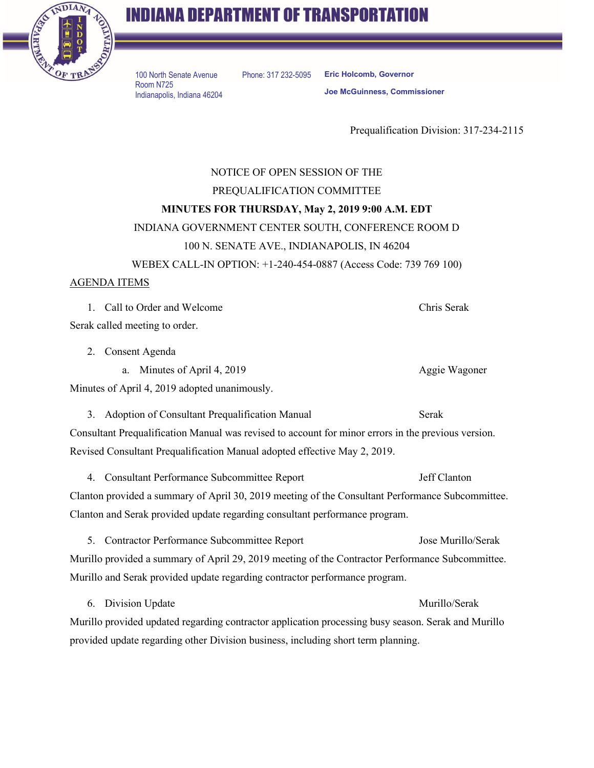

## **INDIANA DEPARTMENT OF TRANSPORTATION**

100 North Senate Avenue Room N725 Indianapolis, Indiana 46204 Phone: 317 232-5095 **Eric Holcomb, Governor Joe McGuinness, Commissioner**

Prequalification Division: 317-234-2115

## NOTICE OF OPEN SESSION OF THE PREQUALIFICATION COMMITTEE **MINUTES FOR THURSDAY, May 2, 2019 9:00 A.M. EDT** INDIANA GOVERNMENT CENTER SOUTH, CONFERENCE ROOM D 100 N. SENATE AVE., INDIANAPOLIS, IN 46204 WEBEX CALL-IN OPTION: +1-240-454-0887 (Access Code: 739 769 100) AGENDA ITEMS 1. Call to Order and Welcome Chris Serak Serak called meeting to order. 2. Consent Agenda a. Minutes of April 4, 2019 **Aggie Wagoner** Aggie Wagoner Minutes of April 4, 2019 adopted unanimously.

3. Adoption of Consultant Prequalification Manual Serak Consultant Prequalification Manual was revised to account for minor errors in the previous version. Revised Consultant Prequalification Manual adopted effective May 2, 2019.

4. Consultant Performance Subcommittee Report Jeff Clanton Clanton provided a summary of April 30, 2019 meeting of the Consultant Performance Subcommittee. Clanton and Serak provided update regarding consultant performance program.

5. Contractor Performance Subcommittee Report Jose Murillo/Serak Murillo provided a summary of April 29, 2019 meeting of the Contractor Performance Subcommittee. Murillo and Serak provided update regarding contractor performance program.

6. Division Update Murillo/Serak Murillo provided updated regarding contractor application processing busy season. Serak and Murillo provided update regarding other Division business, including short term planning.